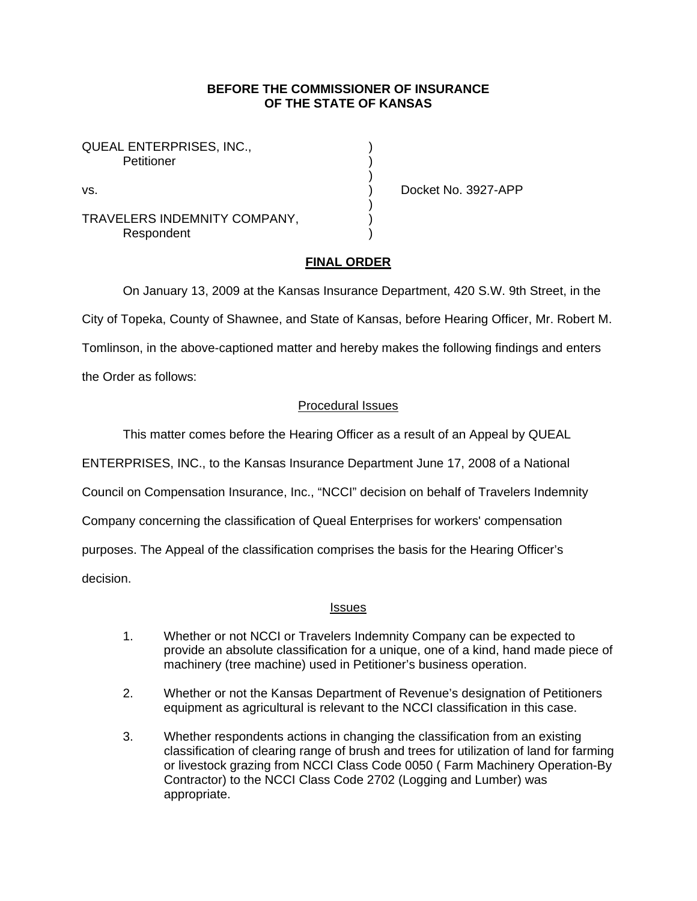### **BEFORE THE COMMISSIONER OF INSURANCE OF THE STATE OF KANSAS**

QUEAL ENTERPRISES, INC., Petitioner (1999)

TRAVELERS INDEMNITY COMPANY,) **Respondent** 

) and the contract of  $\mathcal{L}$ 

 $)$ 

vs. ) Docket No. 3927-APP

## **FINAL ORDER**

On January 13, 2009 at the Kansas Insurance Department, 420 S.W. 9th Street, in the

City of Topeka, County of Shawnee, and State of Kansas, before Hearing Officer, Mr. Robert M.

Tomlinson, in the above-captioned matter and hereby makes the following findings and enters

the Order as follows:

## Procedural Issues

This matter comes before the Hearing Officer as a result of an Appeal by QUEAL

ENTERPRISES, INC., to the Kansas Insurance Department June 17, 2008 of a National

Council on Compensation Insurance, Inc., "NCCI" decision on behalf of Travelers Indemnity

Company concerning the classification of Queal Enterprises for workers' compensation

purposes. The Appeal of the classification comprises the basis for the Hearing Officer's

decision.

### Issues

- 1. Whether or not NCCI or Travelers Indemnity Company can be expected to provide an absolute classification for a unique, one of a kind, hand made piece of machinery (tree machine) used in Petitioner's business operation.
- 2. Whether or not the Kansas Department of Revenue's designation of Petitioners equipment as agricultural is relevant to the NCCI classification in this case.
- 3. Whether respondents actions in changing the classification from an existing classification of clearing range of brush and trees for utilization of land for farming or livestock grazing from NCCI Class Code 0050 ( Farm Machinery Operation-By Contractor) to the NCCI Class Code 2702 (Logging and Lumber) was appropriate.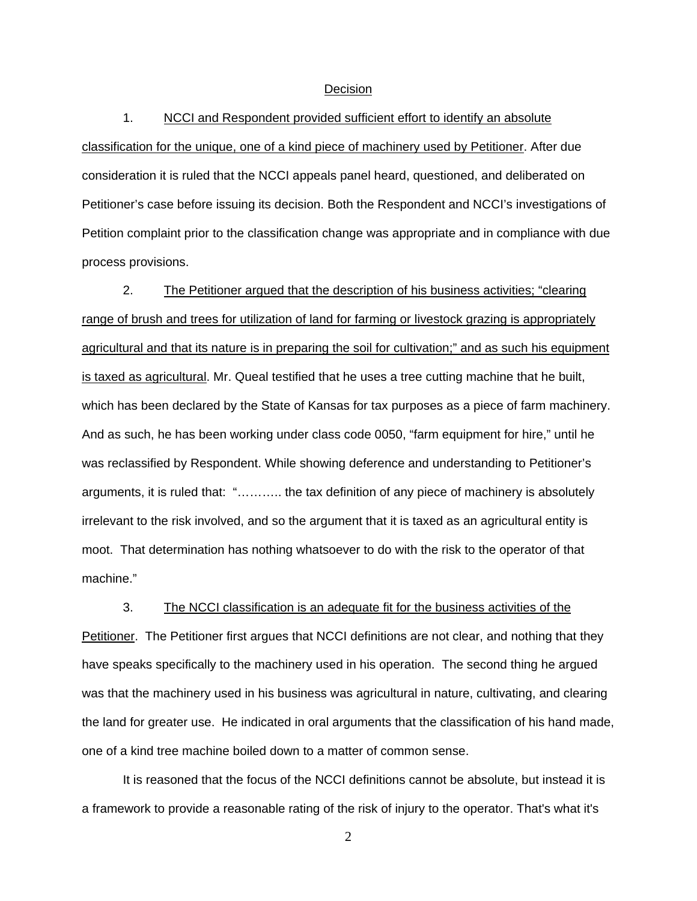#### Decision

1. NCCI and Respondent provided sufficient effort to identify an absolute classification for the unique, one of a kind piece of machinery used by Petitioner. After due consideration it is ruled that the NCCI appeals panel heard, questioned, and deliberated on Petitioner's case before issuing its decision. Both the Respondent and NCCI's investigations of Petition complaint prior to the classification change was appropriate and in compliance with due process provisions.

2. The Petitioner argued that the description of his business activities; "clearing range of brush and trees for utilization of land for farming or livestock grazing is appropriately agricultural and that its nature is in preparing the soil for cultivation;" and as such his equipment is taxed as agricultural. Mr. Queal testified that he uses a tree cutting machine that he built, which has been declared by the State of Kansas for tax purposes as a piece of farm machinery. And as such, he has been working under class code 0050, "farm equipment for hire," until he was reclassified by Respondent. While showing deference and understanding to Petitioner's arguments, it is ruled that: "……….. the tax definition of any piece of machinery is absolutely irrelevant to the risk involved, and so the argument that it is taxed as an agricultural entity is moot. That determination has nothing whatsoever to do with the risk to the operator of that machine."

3. The NCCI classification is an adequate fit for the business activities of the

Petitioner. The Petitioner first argues that NCCI definitions are not clear, and nothing that they have speaks specifically to the machinery used in his operation. The second thing he argued was that the machinery used in his business was agricultural in nature, cultivating, and clearing the land for greater use. He indicated in oral arguments that the classification of his hand made, one of a kind tree machine boiled down to a matter of common sense.

It is reasoned that the focus of the NCCI definitions cannot be absolute, but instead it is a framework to provide a reasonable rating of the risk of injury to the operator. That's what it's

2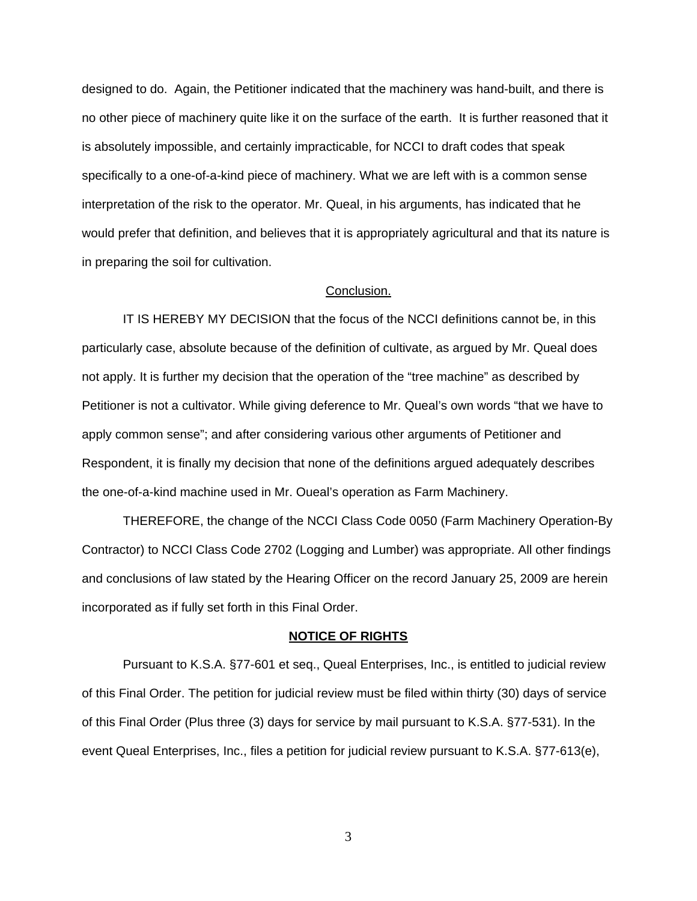designed to do. Again, the Petitioner indicated that the machinery was hand-built, and there is no other piece of machinery quite like it on the surface of the earth. It is further reasoned that it is absolutely impossible, and certainly impracticable, for NCCI to draft codes that speak specifically to a one-of-a-kind piece of machinery. What we are left with is a common sense interpretation of the risk to the operator. Mr. Queal, in his arguments, has indicated that he would prefer that definition, and believes that it is appropriately agricultural and that its nature is in preparing the soil for cultivation.

#### Conclusion.

 IT IS HEREBY MY DECISION that the focus of the NCCI definitions cannot be, in this particularly case, absolute because of the definition of cultivate, as argued by Mr. Queal does not apply. It is further my decision that the operation of the "tree machine" as described by Petitioner is not a cultivator. While giving deference to Mr. Queal's own words "that we have to apply common sense"; and after considering various other arguments of Petitioner and Respondent, it is finally my decision that none of the definitions argued adequately describes the one-of-a-kind machine used in Mr. Oueal's operation as Farm Machinery.

THEREFORE, the change of the NCCI Class Code 0050 (Farm Machinery Operation-By Contractor) to NCCI Class Code 2702 (Logging and Lumber) was appropriate. All other findings and conclusions of law stated by the Hearing Officer on the record January 25, 2009 are herein incorporated as if fully set forth in this Final Order.

#### **NOTICE OF RIGHTS**

Pursuant to K.S.A. §77-601 et seq., Queal Enterprises, Inc., is entitled to judicial review of this Final Order. The petition for judicial review must be filed within thirty (30) days of service of this Final Order (Plus three (3) days for service by mail pursuant to K.S.A. §77-531). In the event Queal Enterprises, Inc., files a petition for judicial review pursuant to K.S.A. §77-613(e),

3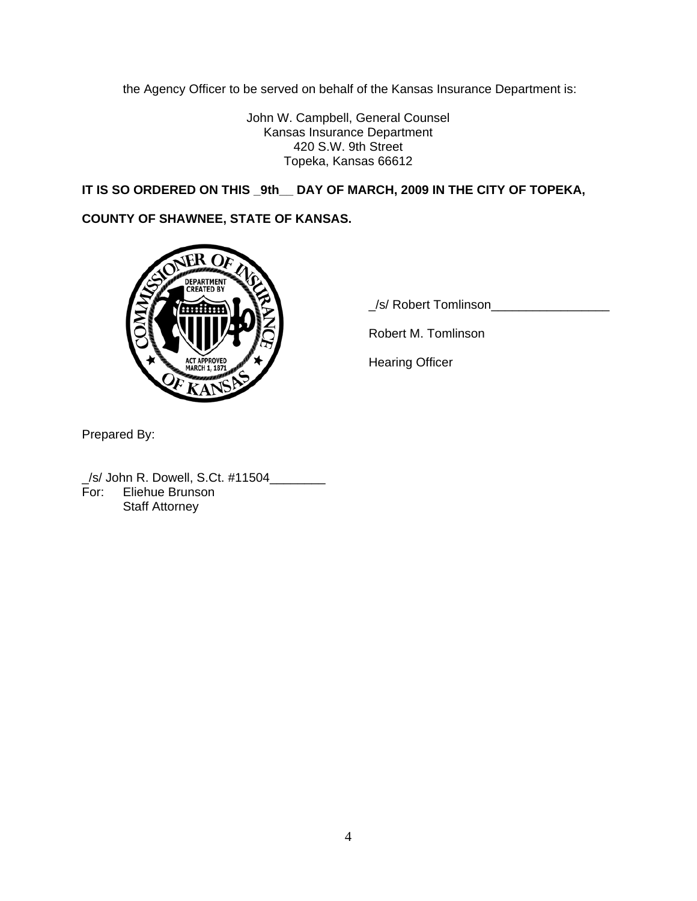the Agency Officer to be served on behalf of the Kansas Insurance Department is:

John W. Campbell, General Counsel Kansas Insurance Department 420 S.W. 9th Street Topeka, Kansas 66612

**IT IS SO ORDERED ON THIS \_9th\_\_ DAY OF MARCH, 2009 IN THE CITY OF TOPEKA,** 

# **COUNTY OF SHAWNEE, STATE OF KANSAS.**



\_/s/ Robert Tomlinson\_\_\_\_\_\_\_\_\_\_\_\_\_\_\_\_\_

Robert M. Tomlinson

Prepared By:

\_/s/ John R. Dowell, S.Ct. #11504\_\_\_\_\_\_\_\_ For: Eliehue Brunson Staff Attorney